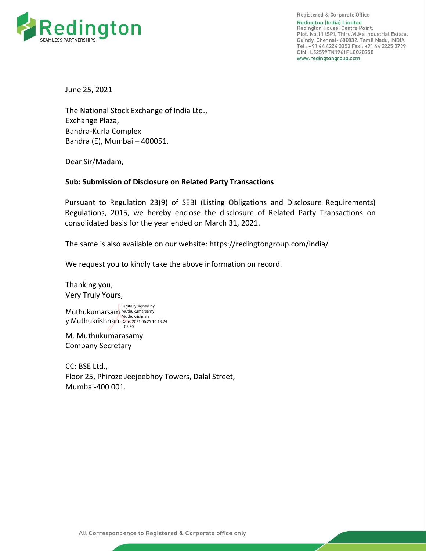

Registered & Corporate Office **Redington (India) Limited** Redington House, Centre Point, Plot. No.11 (SP), Thiru.Vi.Ka Industrial Estate, Guindy, Chennai- 600032. Tamil Nadu, INDIA Tel: +91 44 4224 3353 Fax: +91 44 2225 3799 CIN: L52599TN1961PLC028758 www.redingtongroup.com

June 25, 2021

The National Stock Exchange of India Ltd., Exchange Plaza, Bandra-Kurla Complex Bandra (E), Mumbai – 400051.

Dear Sir/Madam,

## **Sub: Submission of Disclosure on Related Party Transactions**

Pursuant to Regulation 23(9) of SEBI (Listing Obligations and Disclosure Requirements) Regulations, 2015, we hereby enclose the disclosure of Related Party Transactions on consolidated basis for the year ended on March 31, 2021.

The same is also available on our website:<https://redingtongroup.com/india/>

We request you to kindly take the above information on record.

Thanking you, Very Truly Yours,

Muthukumarsam Muthukumarsamy y Muthukrishnan Date: 2021.06.25 16:13:24 Digitally signed by Muthukrishnan +05'30'

M. Muthukumarasamy Company Secretary

CC: BSE Ltd., Floor 25, Phiroze Jeejeebhoy Towers, Dalal Street, Mumbai-400 001.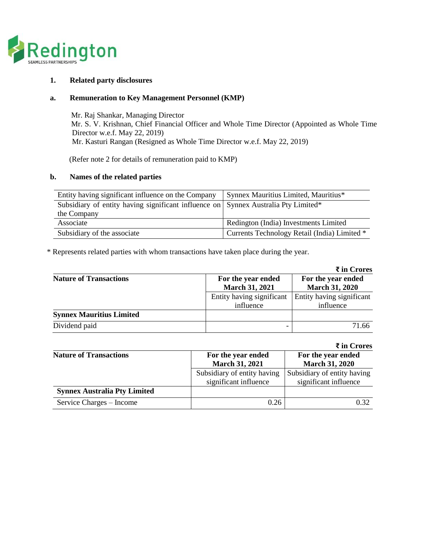

### **1. Related party disclosures**

#### **a. Remuneration to Key Management Personnel (KMP)**

 Mr. Raj Shankar, Managing Director Mr. S. V. Krishnan, Chief Financial Officer and Whole Time Director (Appointed as Whole Time Director w.e.f. May 22, 2019) Mr. Kasturi Rangan (Resigned as Whole Time Director w.e.f. May 22, 2019)

(Refer note 2 for details of remuneration paid to KMP)

#### **b. Names of the related parties**

| Entity having significant influence on the Company                                 | Synnex Mauritius Limited, Mauritius*         |
|------------------------------------------------------------------------------------|----------------------------------------------|
| Subsidiary of entity having significant influence on Synnex Australia Pty Limited* |                                              |
| the Company                                                                        |                                              |
| Associate                                                                          | Redington (India) Investments Limited        |
| Subsidiary of the associate                                                        | Currents Technology Retail (India) Limited * |

\* Represents related parties with whom transactions have taken place during the year.

|                                 |                           | $\bar{\tau}$ in Crores    |
|---------------------------------|---------------------------|---------------------------|
| <b>Nature of Transactions</b>   | For the year ended        | For the year ended        |
|                                 | <b>March 31, 2021</b>     | <b>March 31, 2020</b>     |
|                                 | Entity having significant | Entity having significant |
|                                 | influence                 | influence                 |
| <b>Synnex Mauritius Limited</b> |                           |                           |
| Dividend paid                   |                           | 71.66                     |

| $\bar{\tau}$ in Crores              |                             |                             |
|-------------------------------------|-----------------------------|-----------------------------|
| <b>Nature of Transactions</b>       | For the year ended          | For the year ended          |
|                                     | <b>March 31, 2021</b>       | <b>March 31, 2020</b>       |
|                                     | Subsidiary of entity having | Subsidiary of entity having |
|                                     | significant influence       | significant influence       |
| <b>Synnex Australia Pty Limited</b> |                             |                             |
| Service Charges – Income            | 0.26                        | 0.32                        |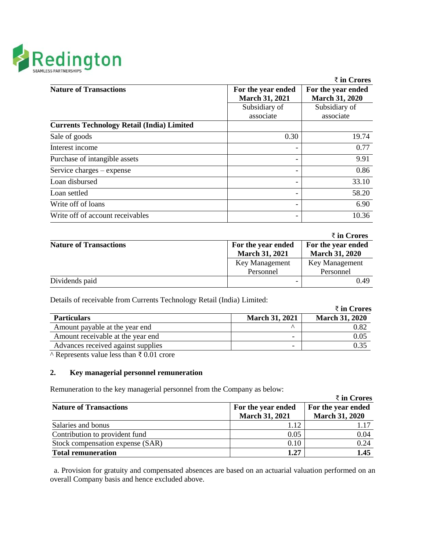

|                                                   |                                             | $\bar{z}$ in Crores                         |
|---------------------------------------------------|---------------------------------------------|---------------------------------------------|
| <b>Nature of Transactions</b>                     | For the year ended<br><b>March 31, 2021</b> | For the year ended<br><b>March 31, 2020</b> |
|                                                   | Subsidiary of                               | Subsidiary of                               |
|                                                   | associate                                   | associate                                   |
| <b>Currents Technology Retail (India) Limited</b> |                                             |                                             |
| Sale of goods                                     | 0.30                                        | 19.74                                       |
| Interest income                                   |                                             | 0.77                                        |
| Purchase of intangible assets                     |                                             | 9.91                                        |
| Service charges – expense                         |                                             | 0.86                                        |
| Loan disbursed                                    |                                             | 33.10                                       |
| Loan settled                                      |                                             | 58.20                                       |
| Write off of loans                                |                                             | 6.90                                        |
| Write off of account receivables                  |                                             | 10.36                                       |

|                               |                       | ₹ in Crores           |
|-------------------------------|-----------------------|-----------------------|
| <b>Nature of Transactions</b> | For the year ended    | For the year ended    |
|                               | <b>March 31, 2021</b> | <b>March 31, 2020</b> |
|                               | Key Management        | Key Management        |
|                               | Personnel             | Personnel             |
| Dividends paid                |                       | 0.49                  |

Details of receivable from Currents Technology Retail (India) Limited:

|                                    |                          | ₹ in Crores           |
|------------------------------------|--------------------------|-----------------------|
| <b>Particulars</b>                 | <b>March 31, 2021</b>    | <b>March 31, 2020</b> |
| Amount payable at the year end     |                          | 0.82                  |
| Amount receivable at the year end  | $\overline{\phantom{0}}$ | 0.05                  |
| Advances received against supplies | $\overline{\phantom{0}}$ |                       |

^ Represents value less than ₹ 0.01 crore

# **2. Key managerial personnel remuneration**

Remuneration to the key managerial personnel from the Company as below:

|                                  |                       | $\bar{\tau}$ in Crores |  |
|----------------------------------|-----------------------|------------------------|--|
| <b>Nature of Transactions</b>    | For the year ended    | For the year ended     |  |
|                                  | <b>March 31, 2021</b> | <b>March 31, 2020</b>  |  |
| Salaries and bonus               |                       |                        |  |
| Contribution to provident fund   | 0.05                  | 0.04                   |  |
| Stock compensation expense (SAR) | 0.10                  | 0.24                   |  |
| <b>Total remuneration</b>        | 1.27                  | 1.45                   |  |

a. Provision for gratuity and compensated absences are based on an actuarial valuation performed on an overall Company basis and hence excluded above.